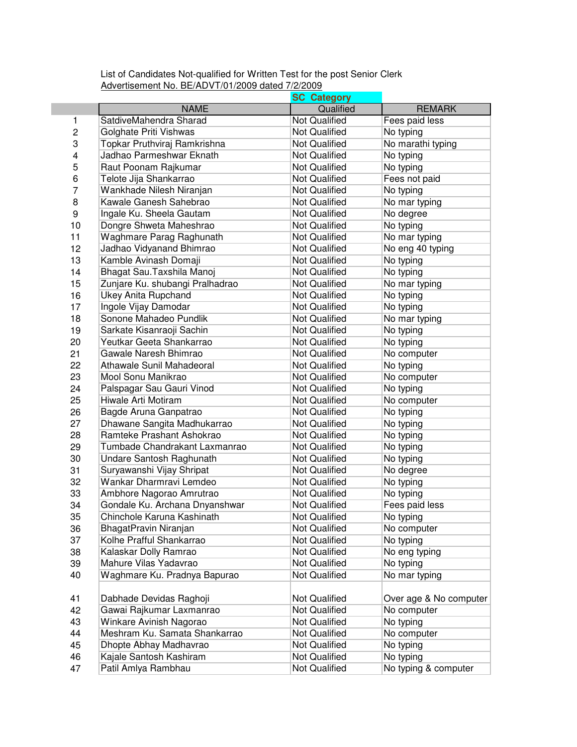List of Candidates Not-qualified for Written Test for the post Senior Clerk Advertisement No. BE/ADVT/01/2009 dated 7/2/2009

|    |                                  | <b>SC Category</b>   |                        |
|----|----------------------------------|----------------------|------------------------|
|    | <b>NAME</b>                      | Qualified            | <b>REMARK</b>          |
| 1  | SatdiveMahendra Sharad           | <b>Not Qualified</b> | Fees paid less         |
| 2  | Golghate Priti Vishwas           | <b>Not Qualified</b> | No typing              |
| 3  | Topkar Pruthviraj Ramkrishna     | <b>Not Qualified</b> | No marathi typing      |
| 4  | Jadhao Parmeshwar Eknath         | <b>Not Qualified</b> | No typing              |
| 5  | Raut Poonam Rajkumar             | <b>Not Qualified</b> | No typing              |
| 6  | Telote Jija Shankarrao           | <b>Not Qualified</b> | Fees not paid          |
| 7  | Wankhade Nilesh Niranjan         | <b>Not Qualified</b> | No typing              |
| 8  | Kawale Ganesh Sahebrao           | <b>Not Qualified</b> | No mar typing          |
| 9  | Ingale Ku. Sheela Gautam         | <b>Not Qualified</b> | No degree              |
| 10 | Dongre Shweta Maheshrao          | <b>Not Qualified</b> | No typing              |
| 11 | Waghmare Parag Raghunath         | <b>Not Qualified</b> | No mar typing          |
| 12 | Jadhao Vidyanand Bhimrao         | <b>Not Qualified</b> | No eng 40 typing       |
| 13 | Kamble Avinash Domaji            | <b>Not Qualified</b> | No typing              |
| 14 | Bhagat Sau. Taxshila Manoj       | <b>Not Qualified</b> | No typing              |
| 15 | Zunjare Ku. shubangi Pralhadrao  | <b>Not Qualified</b> | No mar typing          |
| 16 | <b>Ukey Anita Rupchand</b>       | <b>Not Qualified</b> | No typing              |
| 17 | Ingole Vijay Damodar             | <b>Not Qualified</b> | No typing              |
| 18 | Sonone Mahadeo Pundlik           | <b>Not Qualified</b> | No mar typing          |
| 19 | Sarkate Kisanraoji Sachin        | <b>Not Qualified</b> | No typing              |
| 20 | Yeutkar Geeta Shankarrao         | <b>Not Qualified</b> | No typing              |
| 21 | Gawale Naresh Bhimrao            | Not Qualified        | No computer            |
| 22 | <b>Athawale Sunil Mahadeoral</b> | <b>Not Qualified</b> | No typing              |
| 23 | Mool Sonu Manikrao               | <b>Not Qualified</b> | No computer            |
| 24 | Palspagar Sau Gauri Vinod        | <b>Not Qualified</b> | No typing              |
| 25 | Hiwale Arti Motiram              | <b>Not Qualified</b> | No computer            |
| 26 | Bagde Aruna Ganpatrao            | <b>Not Qualified</b> | No typing              |
| 27 | Dhawane Sangita Madhukarrao      | <b>Not Qualified</b> | No typing              |
| 28 | Ramteke Prashant Ashokrao        | <b>Not Qualified</b> | No typing              |
| 29 | Tumbade Chandrakant Laxmanrao    | <b>Not Qualified</b> | No typing              |
| 30 | Undare Santosh Raghunath         | <b>Not Qualified</b> | No typing              |
| 31 | Suryawanshi Vijay Shripat        | <b>Not Qualified</b> | No degree              |
| 32 | Wankar Dharmravi Lemdeo          | Not Qualified        | No typing              |
| 33 | Ambhore Nagorao Amrutrao         | <b>Not Qualified</b> | No typing              |
| 34 | Gondale Ku. Archana Dnyanshwar   | <b>Not Qualified</b> | Fees paid less         |
| 35 | Chinchole Karuna Kashinath       | Not Qualified        | No typing              |
| 36 | BhagatPravin Niranjan            | <b>Not Qualified</b> | No computer            |
| 37 | Kolhe Prafful Shankarrao         | Not Qualified        | No typing              |
| 38 | Kalaskar Dolly Ramrao            | <b>Not Qualified</b> | No eng typing          |
| 39 | Mahure Vilas Yadavrao            | Not Qualified        | No typing              |
| 40 | Waghmare Ku. Pradnya Bapurao     | Not Qualified        | No mar typing          |
|    |                                  |                      |                        |
| 41 | Dabhade Devidas Raghoji          | Not Qualified        | Over age & No computer |
| 42 | Gawai Rajkumar Laxmanrao         | Not Qualified        | No computer            |
| 43 | Winkare Avinish Nagorao          | Not Qualified        | No typing              |
| 44 | Meshram Ku. Samata Shankarrao    | Not Qualified        | No computer            |
| 45 | Dhopte Abhay Madhavrao           | Not Qualified        | No typing              |
| 46 | Kajale Santosh Kashiram          | Not Qualified        | No typing              |
| 47 | Patil Amlya Rambhau              | Not Qualified        | No typing & computer   |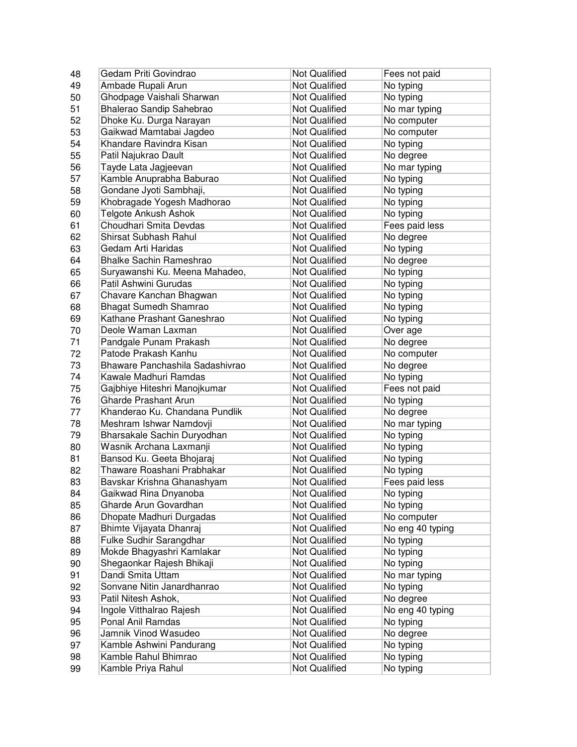| 48 | Gedam Priti Govindrao           | <b>Not Qualified</b> | Fees not paid    |
|----|---------------------------------|----------------------|------------------|
| 49 | Ambade Rupali Arun              | <b>Not Qualified</b> | No typing        |
| 50 | Ghodpage Vaishali Sharwan       | <b>Not Qualified</b> | No typing        |
| 51 | Bhalerao Sandip Sahebrao        | <b>Not Qualified</b> | No mar typing    |
| 52 | Dhoke Ku. Durga Narayan         | <b>Not Qualified</b> | No computer      |
| 53 | Gaikwad Mamtabai Jagdeo         | <b>Not Qualified</b> | No computer      |
| 54 | Khandare Ravindra Kisan         | <b>Not Qualified</b> | No typing        |
| 55 | Patil Najukrao Dault            | <b>Not Qualified</b> | No degree        |
| 56 | Tayde Lata Jagjeevan            | <b>Not Qualified</b> | No mar typing    |
| 57 | Kamble Anuprabha Baburao        | <b>Not Qualified</b> | No typing        |
| 58 | Gondane Jyoti Sambhaji,         | <b>Not Qualified</b> | No typing        |
| 59 | Khobragade Yogesh Madhorao      | Not Qualified        | No typing        |
| 60 | Telgote Ankush Ashok            | <b>Not Qualified</b> | No typing        |
| 61 | Choudhari Smita Devdas          | <b>Not Qualified</b> | Fees paid less   |
| 62 | Shirsat Subhash Rahul           | <b>Not Qualified</b> | No degree        |
| 63 | Gedam Arti Haridas              | <b>Not Qualified</b> | No typing        |
| 64 | <b>Bhalke Sachin Rameshrao</b>  | Not Qualified        | No degree        |
| 65 | Suryawanshi Ku. Meena Mahadeo,  | <b>Not Qualified</b> | No typing        |
| 66 | Patil Ashwini Gurudas           | <b>Not Qualified</b> | No typing        |
| 67 | Chavare Kanchan Bhagwan         | <b>Not Qualified</b> | No typing        |
| 68 | Bhagat Sumedh Shamrao           | <b>Not Qualified</b> | No typing        |
| 69 | Kathane Prashant Ganeshrao      | <b>Not Qualified</b> | No typing        |
| 70 | Deole Waman Laxman              | <b>Not Qualified</b> | Over age         |
| 71 | Pandgale Punam Prakash          | <b>Not Qualified</b> | No degree        |
| 72 | Patode Prakash Kanhu            | <b>Not Qualified</b> | No computer      |
| 73 | Bhaware Panchashila Sadashivrao | <b>Not Qualified</b> | No degree        |
| 74 | Kawale Madhuri Ramdas           | <b>Not Qualified</b> | No typing        |
| 75 | Gajbhiye Hiteshri Manojkumar    | <b>Not Qualified</b> | Fees not paid    |
| 76 | <b>Gharde Prashant Arun</b>     | <b>Not Qualified</b> | No typing        |
| 77 | Khanderao Ku. Chandana Pundlik  | <b>Not Qualified</b> | No degree        |
| 78 | Meshram Ishwar Namdovji         | <b>Not Qualified</b> | No mar typing    |
| 79 | Bharsakale Sachin Duryodhan     | <b>Not Qualified</b> | No typing        |
| 80 | Wasnik Archana Laxmanji         | Not Qualified        | No typing        |
| 81 | Bansod Ku. Geeta Bhojaraj       | <b>Not Qualified</b> | No typing        |
| 82 | Thaware Roashani Prabhakar      | <b>Not Qualified</b> | No typing        |
| 83 | Bavskar Krishna Ghanashyam      | <b>Not Qualified</b> | Fees paid less   |
| 84 | Gaikwad Rina Dnyanoba           | <b>Not Qualified</b> | No typing        |
| 85 | Gharde Arun Govardhan           | Not Qualified        | No typing        |
| 86 | Dhopate Madhuri Durgadas        | Not Qualified        | No computer      |
| 87 | Bhimte Vijayata Dhanraj         | Not Qualified        | No eng 40 typing |
| 88 | Fulke Sudhir Sarangdhar         | Not Qualified        | No typing        |
| 89 | Mokde Bhagyashri Kamlakar       | Not Qualified        | No typing        |
| 90 | Shegaonkar Rajesh Bhikaji       | <b>Not Qualified</b> | No typing        |
| 91 | Dandi Smita Uttam               | <b>Not Qualified</b> | No mar typing    |
| 92 | Sonvane Nitin Janardhanrao      | <b>Not Qualified</b> | No typing        |
| 93 | Patil Nitesh Ashok,             | <b>Not Qualified</b> | No degree        |
| 94 | Ingole Vitthalrao Rajesh        | <b>Not Qualified</b> | No eng 40 typing |
| 95 | Ponal Anil Ramdas               | <b>Not Qualified</b> | No typing        |
| 96 | Jamnik Vinod Wasudeo            | <b>Not Qualified</b> | No degree        |
| 97 | Kamble Ashwini Pandurang        | <b>Not Qualified</b> | No typing        |
| 98 | Kamble Rahul Bhimrao            | <b>Not Qualified</b> | No typing        |
| 99 | Kamble Priya Rahul              | Not Qualified        | No typing        |
|    |                                 |                      |                  |